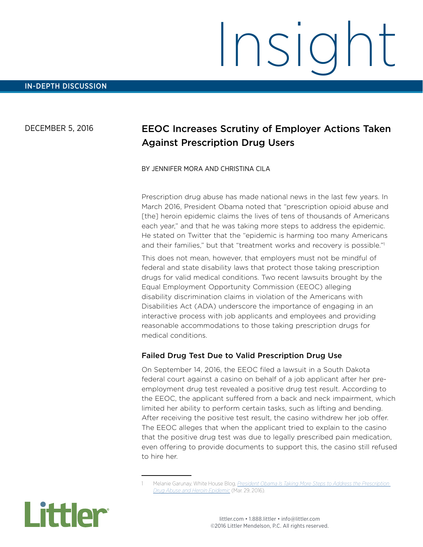# Insight

### DECEMBER 5, 2016

# EEOC Increases Scrutiny of Employer Actions Taken Against Prescription Drug Users

#### BY JENNIFER MORA AND CHRISTINA CILA

Prescription drug abuse has made national news in the last few years. In March 2016, President Obama noted that "prescription opioid abuse and [the] heroin epidemic claims the lives of tens of thousands of Americans each year," and that he was taking more steps to address the epidemic. He stated on Twitter that the "epidemic is harming too many Americans and their families," but that "treatment works and recovery is possible."<sup>1</sup>

This does not mean, however, that employers must not be mindful of federal and state disability laws that protect those taking prescription drugs for valid medical conditions. Two recent lawsuits brought by the Equal Employment Opportunity Commission (EEOC) alleging disability discrimination claims in violation of the Americans with Disabilities Act (ADA) underscore the importance of engaging in an interactive process with job applicants and employees and providing reasonable accommodations to those taking prescription drugs for medical conditions.

## Failed Drug Test Due to Valid Prescription Drug Use

On September 14, 2016, the EEOC filed a lawsuit in a South Dakota federal court against a casino on behalf of a job applicant after her preemployment drug test revealed a positive drug test result. According to the EEOC, the applicant suffered from a back and neck impairment, which limited her ability to perform certain tasks, such as lifting and bending. After receiving the positive test result, the casino withdrew her job offer. The EEOC alleges that when the applicant tried to explain to the casino that the positive drug test was due to legally prescribed pain medication, even offering to provide documents to support this, the casino still refused to hire her.

<sup>1</sup> Melanie Garunay, White House Blog, *[President Obama Is Taking More Steps to Address the Prescription](https://www.whitehouse.gov/blog/2016/03/29/president-obama-taking-more-action-address-prescription-drug-abuse-epidemic-0)  [Drug Abuse and Heroin Epidemic](https://www.whitehouse.gov/blog/2016/03/29/president-obama-taking-more-action-address-prescription-drug-abuse-epidemic-0)* (Mar. 29, 2016).